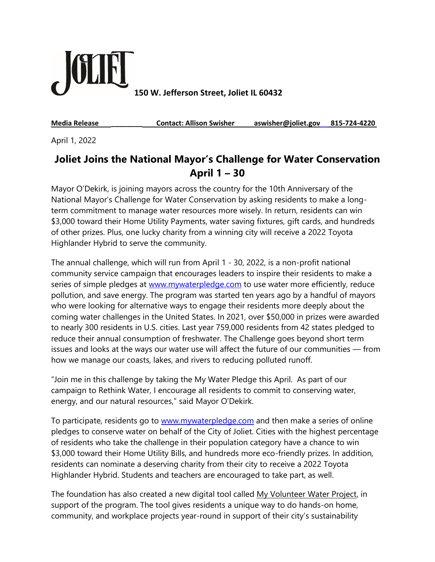

**150 W. Jefferson Street, Joliet IL 60432**

**Media Release \_\_\_\_\_\_\_\_ Contact: Allison Swisher aswisher@joliet.gov 815-724-4220**

April 1, 2022

## **Joliet Joins the National Mayor's Challenge for Water Conservation April 1 – 30**

Mayor O'Dekirk, is joining mayors across the country for the 10th Anniversary of the National Mayor's Challenge for Water Conservation by asking residents to make a longterm commitment to manage water resources more wisely. In return, residents can win \$3,000 toward their Home Utility Payments, water saving fixtures, gift cards, and hundreds of other prizes. Plus, one lucky charity from a winning city will receive a 2022 Toyota Highlander Hybrid to serve the community.

The annual challenge, which will run from April 1 - 30, 2022, is a non-profit national community service campaign that encourages leaders to inspire their residents to make a series of simple pledges at [www.mywaterpledge.com](http://www.mywaterpledge.com/) to use water more efficiently, reduce pollution, and save energy. The program was started ten years ago by a handful of mayors who were looking for alternative ways to engage their residents more deeply about the coming water challenges in the United States. In 2021, over \$50,000 in prizes were awarded to nearly 300 residents in U.S. cities. Last year 759,000 residents from 42 states pledged to reduce their annual consumption of freshwater. The Challenge goes beyond short term issues and looks at the ways our water use will affect the future of our communities — from how we manage our coasts, lakes, and rivers to reducing polluted runoff.

"Join me in this challenge by taking the My Water Pledge this April. As part of our campaign to Rethink Water, I encourage all residents to commit to conserving water, energy, and our natural resources," said Mayor O'Dekirk.

To participate, residents go to [www.mywaterpledge.com](http://www.mywaterpledge.com/) and then make a series of online pledges to conserve water on behalf of the City of Joliet. Cities with the highest percentage of residents who take the challenge in their population category have a chance to win \$3,000 toward their Home Utility Bills, and hundreds more eco-friendly prizes. In addition, residents can nominate a deserving charity from their city to receive a 2022 Toyota Highlander Hybrid. Students and teachers are encouraged to take part, as well.

The foundation has also created a new digital tool called [My Volunteer Water Project,](https://wylandfoundation.ecochallenge.org/) in support of the program. The tool gives residents a unique way to do hands-on home, community, and workplace projects year-round in support of their city's sustainability